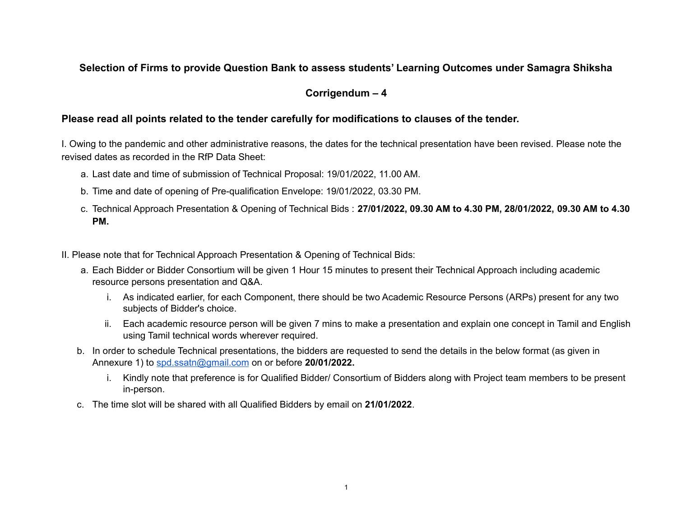## **Selection of Firms to provide Question Bank to assess students' Learning Outcomes under Samagra Shiksha**

## **Corrigendum – 4**

## **Please read all points related to the tender carefully for modifications to clauses of the tender.**

I. Owing to the pandemic and other administrative reasons, the dates for the technical presentation have been revised. Please note the revised dates as recorded in the RfP Data Sheet:

- a. Last date and time of submission of Technical Proposal: 19/01/2022, 11.00 AM.
- b. Time and date of opening of Pre-qualification Envelope: 19/01/2022, 03.30 PM.
- c. Technical Approach Presentation & Opening of Technical Bids : **27/01/2022, 09.30 AM to 4.30 PM, 28/01/2022, 09.30 AM to 4.30 PM.**
- II. Please note that for Technical Approach Presentation & Opening of Technical Bids:
	- a. Each Bidder or Bidder Consortium will be given 1 Hour 15 minutes to present their Technical Approach including academic resource persons presentation and Q&A.
		- i. As indicated earlier, for each Component, there should be two Academic Resource Persons (ARPs) present for any two subjects of Bidder's choice.
		- ii. Each academic resource person will be given 7 mins to make a presentation and explain one concept in Tamil and English using Tamil technical words wherever required.
	- b. In order to schedule Technical presentations, the bidders are requested to send the details in the below format (as given in Annexure 1) to [spd.ssatn@gmail.com](mailto:spd.ssatn@gmail.com) on or before **20/01/2022.**
		- i. Kindly note that preference is for Qualified Bidder/ Consortium of Bidders along with Project team members to be present in-person.
	- c. The time slot will be shared with all Qualified Bidders by email on **21/01/2022**.